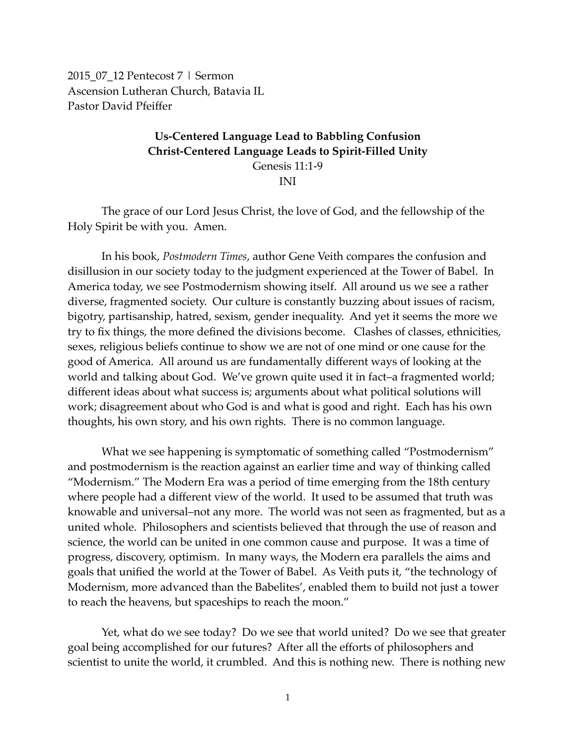2015\_07\_12 Pentecost 7 | Sermon Ascension Lutheran Church, Batavia IL Pastor David Pfeiffer

# **Us-Centered Language Lead to Babbling Confusion Christ-Centered Language Leads to Spirit-Filled Unity** Genesis 11:1-9 INI

The grace of our Lord Jesus Christ, the love of God, and the fellowship of the Holy Spirit be with you. Amen.

In his book, *Postmodern Times*, author Gene Veith compares the confusion and disillusion in our society today to the judgment experienced at the Tower of Babel. In America today, we see Postmodernism showing itself. All around us we see a rather diverse, fragmented society. Our culture is constantly buzzing about issues of racism, bigotry, partisanship, hatred, sexism, gender inequality. And yet it seems the more we try to fix things, the more defined the divisions become. Clashes of classes, ethnicities, sexes, religious beliefs continue to show we are not of one mind or one cause for the good of America. All around us are fundamentally different ways of looking at the world and talking about God. We've grown quite used it in fact–a fragmented world; different ideas about what success is; arguments about what political solutions will work; disagreement about who God is and what is good and right. Each has his own thoughts, his own story, and his own rights. There is no common language.

What we see happening is symptomatic of something called "Postmodernism" and postmodernism is the reaction against an earlier time and way of thinking called "Modernism." The Modern Era was a period of time emerging from the 18th century where people had a different view of the world. It used to be assumed that truth was knowable and universal–not any more. The world was not seen as fragmented, but as a united whole. Philosophers and scientists believed that through the use of reason and science, the world can be united in one common cause and purpose. It was a time of progress, discovery, optimism. In many ways, the Modern era parallels the aims and goals that unified the world at the Tower of Babel. As Veith puts it, "the technology of Modernism, more advanced than the Babelites', enabled them to build not just a tower to reach the heavens, but spaceships to reach the moon."

Yet, what do we see today? Do we see that world united? Do we see that greater goal being accomplished for our futures? After all the efforts of philosophers and scientist to unite the world, it crumbled. And this is nothing new. There is nothing new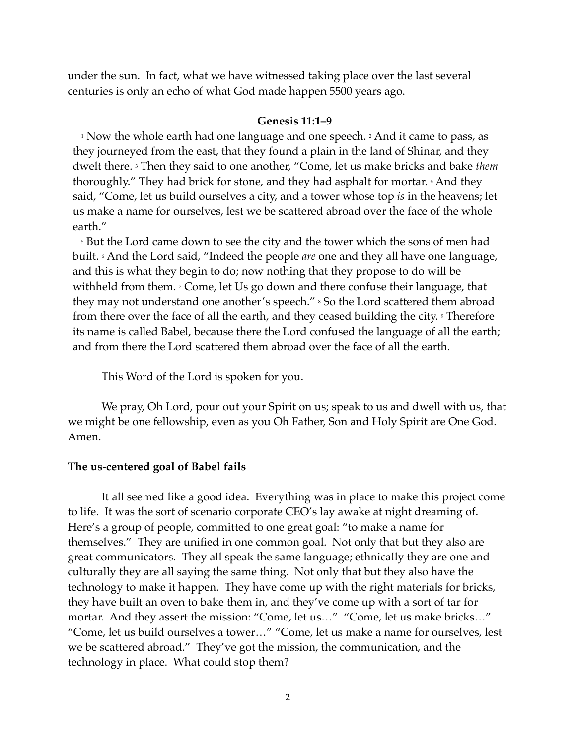under the sun. In fact, what we have witnessed taking place over the last several centuries is only an echo of what God made happen 5500 years ago.

## **Genesis 11:1–9**

<sup>1</sup> Now the whole earth had one language and one speech. <sup>2</sup> And it came to pass, as they journeyed from the east, that they found a plain in the land of Shinar, and they dwelt there. 3 Then they said to one another, "Come, let us make bricks and bake *them* thoroughly." They had brick for stone, and they had asphalt for mortar. 4 And they said, "Come, let us build ourselves a city, and a tower whose top *is* in the heavens; let us make a name for ourselves, lest we be scattered abroad over the face of the whole earth."

<sup>5</sup> But the Lord came down to see the city and the tower which the sons of men had built. 6 And the Lord said, "Indeed the people *are* one and they all have one language, and this is what they begin to do; now nothing that they propose to do will be withheld from them. <sup>7</sup> Come, let Us go down and there confuse their language, that they may not understand one another's speech." <sup>8</sup> So the Lord scattered them abroad from there over the face of all the earth, and they ceased building the city. *P* Therefore its name is called Babel, because there the Lord confused the language of all the earth; and from there the Lord scattered them abroad over the face of all the earth.

This Word of the Lord is spoken for you.

We pray, Oh Lord, pour out your Spirit on us; speak to us and dwell with us, that we might be one fellowship, even as you Oh Father, Son and Holy Spirit are One God. Amen.

#### **The us-centered goal of Babel fails**

It all seemed like a good idea. Everything was in place to make this project come to life. It was the sort of scenario corporate CEO's lay awake at night dreaming of. Here's a group of people, committed to one great goal: "to make a name for themselves." They are unified in one common goal. Not only that but they also are great communicators. They all speak the same language; ethnically they are one and culturally they are all saying the same thing. Not only that but they also have the technology to make it happen. They have come up with the right materials for bricks, they have built an oven to bake them in, and they've come up with a sort of tar for mortar. And they assert the mission: "Come, let us..." "Come, let us make bricks..." "Come, let us build ourselves a tower…" "Come, let us make a name for ourselves, lest we be scattered abroad." They've got the mission, the communication, and the technology in place. What could stop them?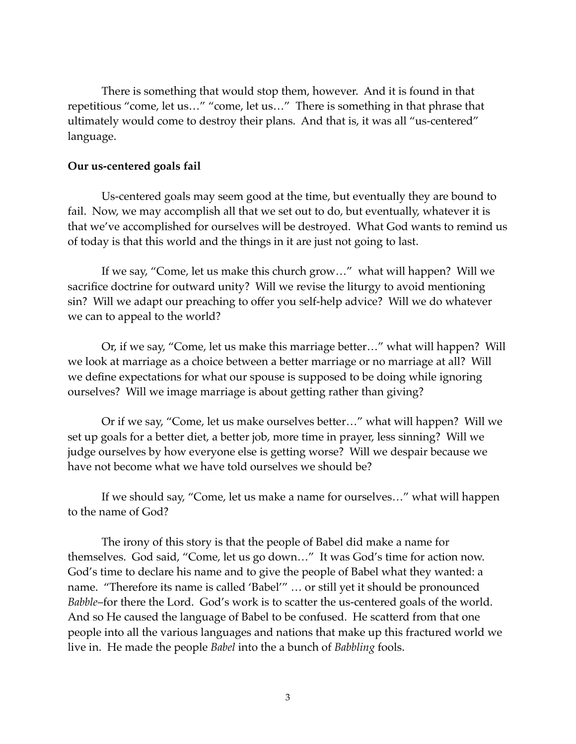There is something that would stop them, however. And it is found in that repetitious "come, let us…" "come, let us…" There is something in that phrase that ultimately would come to destroy their plans. And that is, it was all "us-centered" language.

## **Our us-centered goals fail**

Us-centered goals may seem good at the time, but eventually they are bound to fail. Now, we may accomplish all that we set out to do, but eventually, whatever it is that we've accomplished for ourselves will be destroyed. What God wants to remind us of today is that this world and the things in it are just not going to last.

If we say, "Come, let us make this church grow…" what will happen? Will we sacrifice doctrine for outward unity? Will we revise the liturgy to avoid mentioning sin? Will we adapt our preaching to offer you self-help advice? Will we do whatever we can to appeal to the world?

Or, if we say, "Come, let us make this marriage better…" what will happen? Will we look at marriage as a choice between a better marriage or no marriage at all? Will we define expectations for what our spouse is supposed to be doing while ignoring ourselves? Will we image marriage is about getting rather than giving?

Or if we say, "Come, let us make ourselves better…" what will happen? Will we set up goals for a better diet, a better job, more time in prayer, less sinning? Will we judge ourselves by how everyone else is getting worse? Will we despair because we have not become what we have told ourselves we should be?

If we should say, "Come, let us make a name for ourselves…" what will happen to the name of God?

The irony of this story is that the people of Babel did make a name for themselves. God said, "Come, let us go down…" It was God's time for action now. God's time to declare his name and to give the people of Babel what they wanted: a name. "Therefore its name is called 'Babel'" … or still yet it should be pronounced *Babble*–for there the Lord. God's work is to scatter the us-centered goals of the world. And so He caused the language of Babel to be confused. He scatterd from that one people into all the various languages and nations that make up this fractured world we live in. He made the people *Babel* into the a bunch of *Babbling* fools.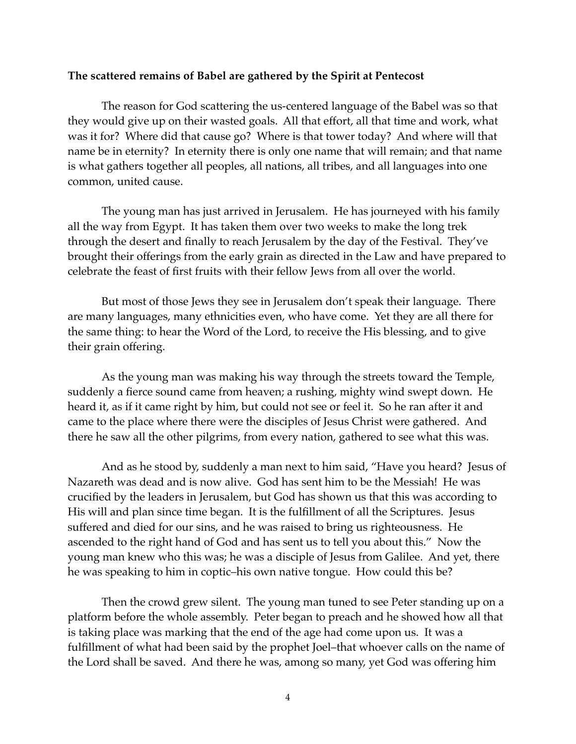#### **The scattered remains of Babel are gathered by the Spirit at Pentecost**

The reason for God scattering the us-centered language of the Babel was so that they would give up on their wasted goals. All that effort, all that time and work, what was it for? Where did that cause go? Where is that tower today? And where will that name be in eternity? In eternity there is only one name that will remain; and that name is what gathers together all peoples, all nations, all tribes, and all languages into one common, united cause.

The young man has just arrived in Jerusalem. He has journeyed with his family all the way from Egypt. It has taken them over two weeks to make the long trek through the desert and finally to reach Jerusalem by the day of the Festival. They've brought their offerings from the early grain as directed in the Law and have prepared to celebrate the feast of first fruits with their fellow Jews from all over the world.

But most of those Jews they see in Jerusalem don't speak their language. There are many languages, many ethnicities even, who have come. Yet they are all there for the same thing: to hear the Word of the Lord, to receive the His blessing, and to give their grain offering.

As the young man was making his way through the streets toward the Temple, suddenly a fierce sound came from heaven; a rushing, mighty wind swept down. He heard it, as if it came right by him, but could not see or feel it. So he ran after it and came to the place where there were the disciples of Jesus Christ were gathered. And there he saw all the other pilgrims, from every nation, gathered to see what this was.

And as he stood by, suddenly a man next to him said, "Have you heard? Jesus of Nazareth was dead and is now alive. God has sent him to be the Messiah! He was crucified by the leaders in Jerusalem, but God has shown us that this was according to His will and plan since time began. It is the fulfillment of all the Scriptures. Jesus suffered and died for our sins, and he was raised to bring us righteousness. He ascended to the right hand of God and has sent us to tell you about this." Now the young man knew who this was; he was a disciple of Jesus from Galilee. And yet, there he was speaking to him in coptic–his own native tongue. How could this be?

Then the crowd grew silent. The young man tuned to see Peter standing up on a platform before the whole assembly. Peter began to preach and he showed how all that is taking place was marking that the end of the age had come upon us. It was a fulfillment of what had been said by the prophet Joel–that whoever calls on the name of the Lord shall be saved. And there he was, among so many, yet God was offering him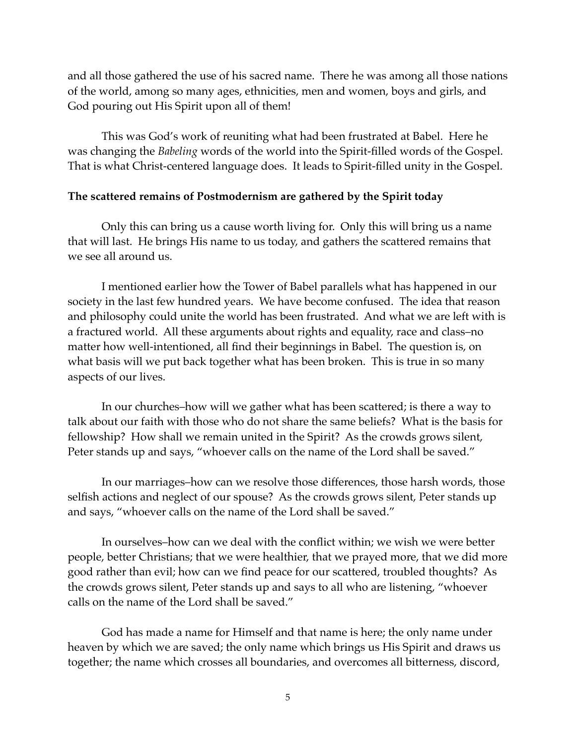and all those gathered the use of his sacred name. There he was among all those nations of the world, among so many ages, ethnicities, men and women, boys and girls, and God pouring out His Spirit upon all of them!

This was God's work of reuniting what had been frustrated at Babel. Here he was changing the *Babeling* words of the world into the Spirit-filled words of the Gospel. That is what Christ-centered language does. It leads to Spirit-filled unity in the Gospel.

#### **The scattered remains of Postmodernism are gathered by the Spirit today**

Only this can bring us a cause worth living for. Only this will bring us a name that will last. He brings His name to us today, and gathers the scattered remains that we see all around us.

I mentioned earlier how the Tower of Babel parallels what has happened in our society in the last few hundred years. We have become confused. The idea that reason and philosophy could unite the world has been frustrated. And what we are left with is a fractured world. All these arguments about rights and equality, race and class–no matter how well-intentioned, all find their beginnings in Babel. The question is, on what basis will we put back together what has been broken. This is true in so many aspects of our lives.

In our churches–how will we gather what has been scattered; is there a way to talk about our faith with those who do not share the same beliefs? What is the basis for fellowship? How shall we remain united in the Spirit? As the crowds grows silent, Peter stands up and says, "whoever calls on the name of the Lord shall be saved."

In our marriages–how can we resolve those differences, those harsh words, those selfish actions and neglect of our spouse? As the crowds grows silent, Peter stands up and says, "whoever calls on the name of the Lord shall be saved."

In ourselves–how can we deal with the conflict within; we wish we were better people, better Christians; that we were healthier, that we prayed more, that we did more good rather than evil; how can we find peace for our scattered, troubled thoughts? As the crowds grows silent, Peter stands up and says to all who are listening, "whoever calls on the name of the Lord shall be saved."

God has made a name for Himself and that name is here; the only name under heaven by which we are saved; the only name which brings us His Spirit and draws us together; the name which crosses all boundaries, and overcomes all bitterness, discord,